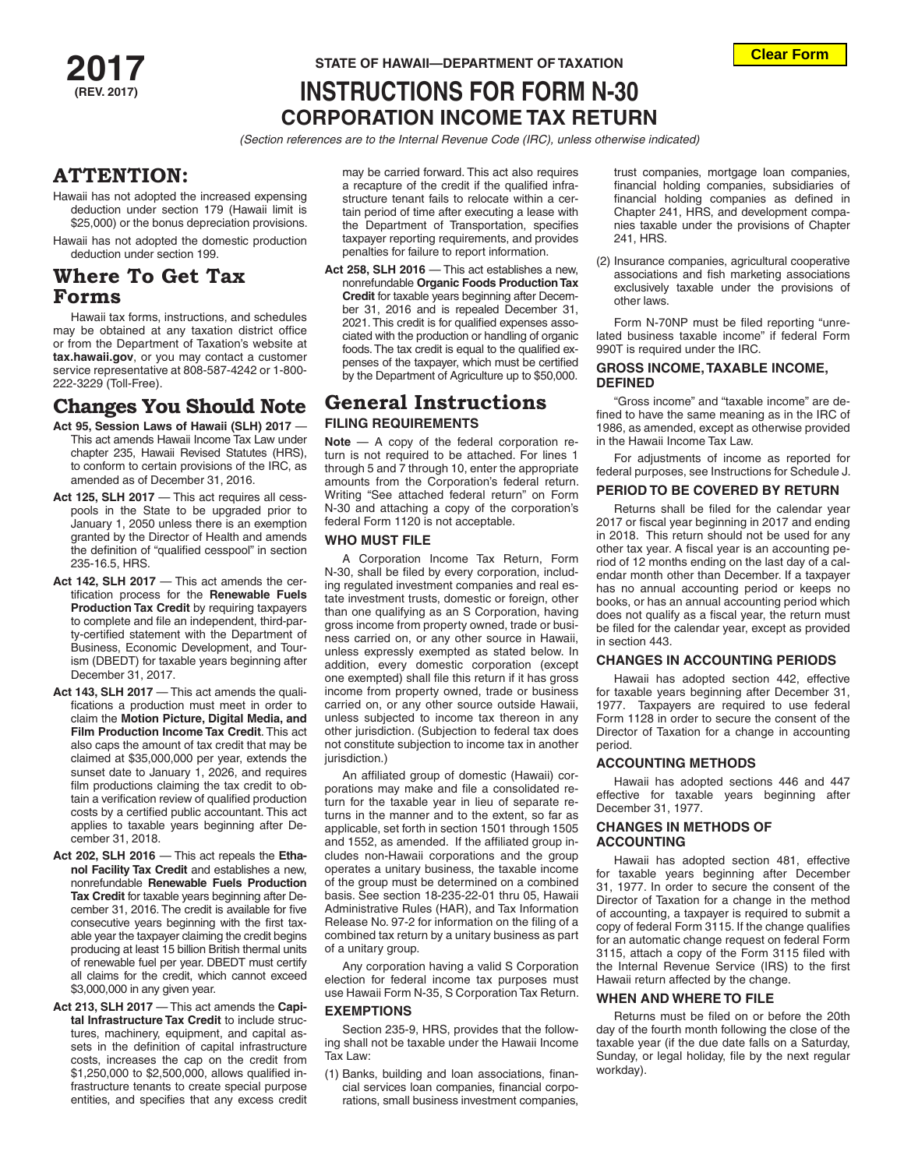## **Clear Form**

# **2017 STATE OF HAWAII—DEPARTMENT OF TAXATION INSTRUCTIONS FOR FORM N-30 CORPORATION INCOME TAX RETURN**

*(Section references are to the Internal Revenue Code (IRC), unless otherwise indicated)*

## **ATTENTION**:

- Hawaii has not adopted the increased expensing deduction under section 179 (Hawaii limit is \$25,000) or the bonus depreciation provisions.
- Hawaii has not adopted the domestic production deduction under section 199.

# **Where To Get Tax Forms**

Hawaii tax forms, instructions, and schedules may be obtained at any taxation district office or from the Department of Taxation's website at **tax.hawaii.gov**, or you may contact a customer service representative at 808-587-4242 or 1-800- 222-3229 (Toll-Free).

# **Changes You Should Note**

- **Act 95, Session Laws of Hawaii (SLH) 2017**  This act amends Hawaii Income Tax Law under chapter 235, Hawaii Revised Statutes (HRS), to conform to certain provisions of the IRC, as amended as of December 31, 2016.
- **Act 125, SLH 2017** This act requires all cesspools in the State to be upgraded prior to January 1, 2050 unless there is an exemption granted by the Director of Health and amends the definition of "qualified cesspool" in section 235-16.5, HRS.
- **Act 142, SLH 2017** This act amends the certification process for the **Renewable Fuels Production Tax Credit** by requiring taxpayers to complete and file an independent, third-party-certified statement with the Department of Business, Economic Development, and Tourism (DBEDT) for taxable years beginning after December 31, 2017.
- **Act 143, SLH 2017** This act amends the qualifications a production must meet in order to claim the **Motion Picture, Digital Media, and Film Production Income Tax Credit**. This act also caps the amount of tax credit that may be claimed at \$35,000,000 per year, extends the sunset date to January 1, 2026, and requires film productions claiming the tax credit to obtain a verification review of qualified production costs by a certified public accountant. This act applies to taxable years beginning after December 31, 2018.
- **Act 202, SLH 2016** This act repeals the **Ethanol Facility Tax Credit** and establishes a new, nonrefundable **Renewable Fuels Production Tax Credit** for taxable years beginning after December 31, 2016. The credit is available for five consecutive years beginning with the first taxable year the taxpayer claiming the credit begins producing at least 15 billion British thermal units of renewable fuel per year. DBEDT must certify all claims for the credit, which cannot exceed \$3,000,000 in any given year.
- **Act 213, SLH 2017** This act amends the **Capital Infrastructure Tax Credit** to include structures, machinery, equipment, and capital assets in the definition of capital infrastructure costs, increases the cap on the credit from \$1,250,000 to \$2,500,000, allows qualified infrastructure tenants to create special purpose entities, and specifies that any excess credit

may be carried forward. This act also requires a recapture of the credit if the qualified infrastructure tenant fails to relocate within a certain period of time after executing a lease with the Department of Transportation, specifies taxpayer reporting requirements, and provides penalties for failure to report information.

**Act 258, SLH 2016** — This act establishes a new, nonrefundable **Organic Foods Production Tax Credit** for taxable years beginning after December 31, 2016 and is repealed December 31, 2021. This credit is for qualified expenses associated with the production or handling of organic foods. The tax credit is equal to the qualified expenses of the taxpayer, which must be certified by the Department of Agriculture up to \$50,000.

# **General Instructions FILING REQUIREMENTS**

**Note** — A copy of the federal corporation return is not required to be attached. For lines 1 through 5 and 7 through 10, enter the appropriate amounts from the Corporation's federal return. Writing "See attached federal return" on Form N-30 and attaching a copy of the corporation's federal Form 1120 is not acceptable.

#### **WHO MUST FILE**

A Corporation Income Tax Return, Form N-30, shall be filed by every corporation, including regulated investment companies and real estate investment trusts, domestic or foreign, other than one qualifying as an S Corporation, having gross income from property owned, trade or business carried on, or any other source in Hawaii, unless expressly exempted as stated below. In addition, every domestic corporation (except one exempted) shall file this return if it has gross income from property owned, trade or business carried on, or any other source outside Hawaii, unless subjected to income tax thereon in any other jurisdiction. (Subjection to federal tax does not constitute subjection to income tax in another jurisdiction.)

An affiliated group of domestic (Hawaii) corporations may make and file a consolidated return for the taxable year in lieu of separate returns in the manner and to the extent, so far as applicable, set forth in section 1501 through 1505 and 1552, as amended. If the affiliated group includes non-Hawaii corporations and the group operates a unitary business, the taxable income of the group must be determined on a combined basis. See section 18-235-22-01 thru 05, Hawaii Administrative Rules (HAR), and Tax Information Release No. 97-2 for information on the filing of a combined tax return by a unitary business as part of a unitary group.

Any corporation having a valid S Corporation election for federal income tax purposes must use Hawaii Form N-35, S Corporation Tax Return.

#### **EXEMPTIONS**

Section 235-9, HRS, provides that the following shall not be taxable under the Hawaii Income Tax Law:

(1) Banks, building and loan associations, financial services loan companies, financial corporations, small business investment companies, trust companies, mortgage loan companies, financial holding companies, subsidiaries of financial holding companies as defined in Chapter 241, HRS, and development companies taxable under the provisions of Chapter 241, HRS.

(2) Insurance companies, agricultural cooperative associations and fish marketing associations exclusively taxable under the provisions of other laws.

Form N-70NP must be filed reporting "unrelated business taxable income" if federal Form 990T is required under the IRC.

#### **GROSS INCOME, TAXABLE INCOME, DEFINED**

"Gross income" and "taxable income" are defined to have the same meaning as in the IRC of 1986, as amended, except as otherwise provided in the Hawaii Income Tax Law.

For adjustments of income as reported for federal purposes, see Instructions for Schedule J.

#### **PERIOD TO BE COVERED BY RETURN**

Returns shall be filed for the calendar year 2017 or fiscal year beginning in 2017 and ending in 2018. This return should not be used for any other tax year. A fiscal year is an accounting period of 12 months ending on the last day of a calendar month other than December. If a taxpayer has no annual accounting period or keeps no books, or has an annual accounting period which does not qualify as a fiscal year, the return must be filed for the calendar year, except as provided in section 443.

#### **CHANGES IN ACCOUNTING PERIODS**

Hawaii has adopted section 442, effective for taxable years beginning after December 31, 1977. Taxpayers are required to use federal Form 1128 in order to secure the consent of the Director of Taxation for a change in accounting period.

#### **ACCOUNTING METHODS**

Hawaii has adopted sections 446 and 447 effective for taxable years beginning after December 31, 1977.

#### **CHANGES IN METHODS OF ACCOUNTING**

Hawaii has adopted section 481, effective for taxable years beginning after December 31, 1977. In order to secure the consent of the Director of Taxation for a change in the method of accounting, a taxpayer is required to submit a copy of federal Form 3115. If the change qualifies for an automatic change request on federal Form 3115, attach a copy of the Form 3115 filed with the Internal Revenue Service (IRS) to the first Hawaii return affected by the change.

#### **WHEN AND WHERE TO FILE**

Returns must be filed on or before the 20th day of the fourth month following the close of the taxable year (if the due date falls on a Saturday, Sunday, or legal holiday, file by the next regular workday).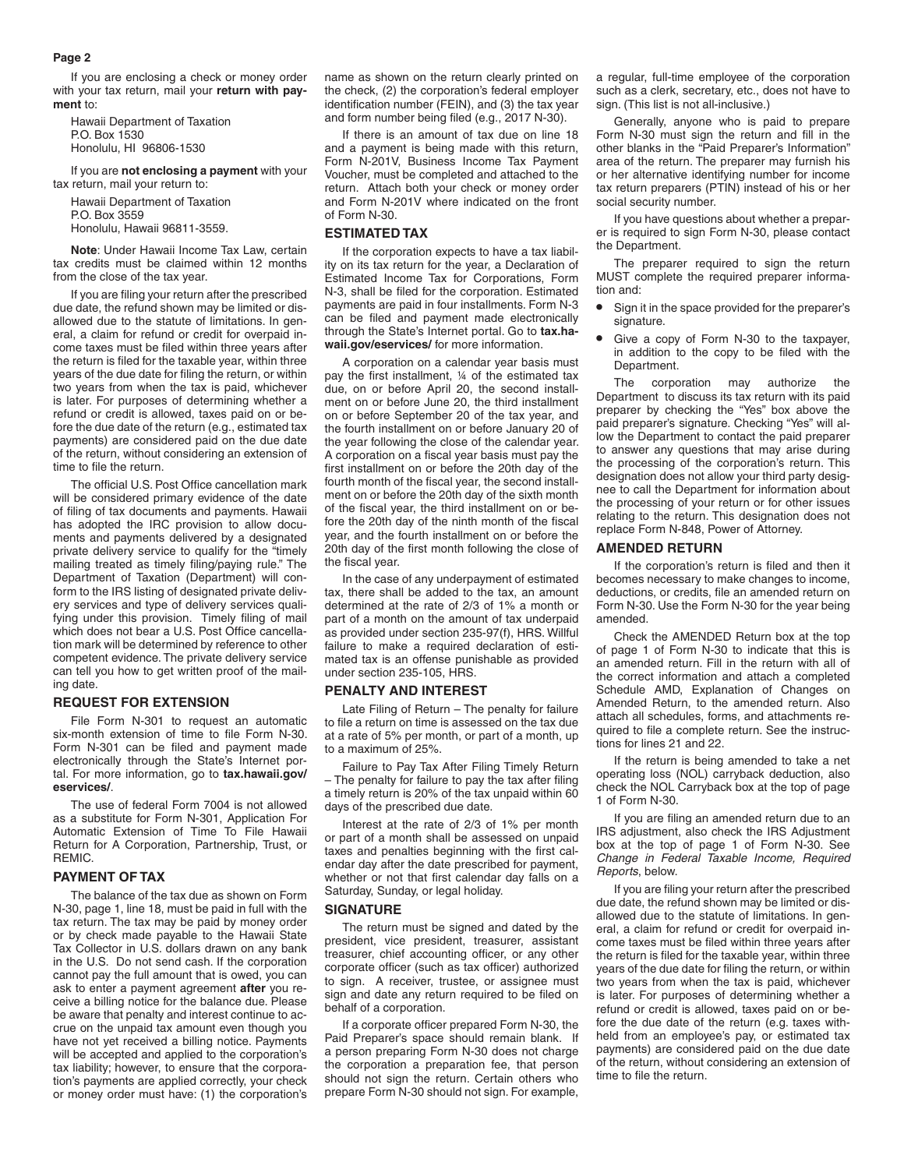If you are enclosing a check or money order with your tax return, mail your **return with payment** to:

Hawaii Department of Taxation P.O. Box 1530 Honolulu, HI 96806-1530

If you are **not enclosing a payment** with your tax return, mail your return to:

Hawaii Department of Taxation P.O. Box 3559 Honolulu, Hawaii 96811-3559.

**Note**: Under Hawaii Income Tax Law, certain tax credits must be claimed within 12 months from the close of the tax year.

If you are filing your return after the prescribed due date, the refund shown may be limited or disallowed due to the statute of limitations. In general, a claim for refund or credit for overpaid income taxes must be filed within three years after the return is filed for the taxable year, within three years of the due date for filing the return, or within two years from when the tax is paid, whichever is later. For purposes of determining whether a refund or credit is allowed, taxes paid on or before the due date of the return (e.g., estimated tax payments) are considered paid on the due date of the return, without considering an extension of time to file the return.

The official U.S. Post Office cancellation mark will be considered primary evidence of the date of filing of tax documents and payments. Hawaii has adopted the IRC provision to allow documents and payments delivered by a designated private delivery service to qualify for the "timely mailing treated as timely filing/paying rule." The Department of Taxation (Department) will conform to the IRS listing of designated private delivery services and type of delivery services qualifying under this provision. Timely filing of mail which does not bear a U.S. Post Office cancellation mark will be determined by reference to other competent evidence. The private delivery service can tell you how to get written proof of the mailing date.

#### **REQUEST FOR EXTENSION**

File Form N-301 to request an automatic six-month extension of time to file Form N-30. Form N-301 can be filed and payment made electronically through the State's Internet portal. For more information, go to **tax.hawaii.gov/ eservices/**.

The use of federal Form 7004 is not allowed as a substitute for Form N-301, Application For Automatic Extension of Time To File Hawaii Return for A Corporation, Partnership, Trust, or REMIC.

#### **PAYMENT OF TAX**

The balance of the tax due as shown on Form N-30, page 1, line 18, must be paid in full with the tax return. The tax may be paid by money order or by check made payable to the Hawaii State Tax Collector in U.S. dollars drawn on any bank in the U.S. Do not send cash. If the corporation cannot pay the full amount that is owed, you can ask to enter a payment agreement **after** you receive a billing notice for the balance due. Please be aware that penalty and interest continue to accrue on the unpaid tax amount even though you have not yet received a billing notice. Payments will be accepted and applied to the corporation's tax liability; however, to ensure that the corporation's payments are applied correctly, your check or money order must have: (1) the corporation's

name as shown on the return clearly printed on the check, (2) the corporation's federal employer identification number (FEIN), and (3) the tax year and form number being filed (e.g., 2017 N-30).

If there is an amount of tax due on line 18 and a payment is being made with this return, Form N-201V, Business Income Tax Payment Voucher, must be completed and attached to the return. Attach both your check or money order and Form N-201V where indicated on the front of Form N-30.

#### **ESTIMATED TAX**

If the corporation expects to have a tax liability on its tax return for the year, a Declaration of Estimated Income Tax for Corporations, Form N-3, shall be filed for the corporation. Estimated payments are paid in four installments. Form N-3 can be filed and payment made electronically through the State's Internet portal. Go to **tax.hawaii.gov/eservices/** for more information.

A corporation on a calendar year basis must pay the first installment, ¼ of the estimated tax due, on or before April 20, the second installment on or before June 20, the third installment on or before September 20 of the tax year, and the fourth installment on or before January 20 of the year following the close of the calendar year. A corporation on a fiscal year basis must pay the first installment on or before the 20th day of the fourth month of the fiscal year, the second installment on or before the 20th day of the sixth month of the fiscal year, the third installment on or before the 20th day of the ninth month of the fiscal year, and the fourth installment on or before the 20th day of the first month following the close of the fiscal year.

In the case of any underpayment of estimated tax, there shall be added to the tax, an amount determined at the rate of 2/3 of 1% a month or part of a month on the amount of tax underpaid as provided under section 235-97(f), HRS. Willful failure to make a required declaration of estimated tax is an offense punishable as provided under section 235-105, HRS.

#### **PENALTY AND INTEREST**

Late Filing of Return – The penalty for failure to file a return on time is assessed on the tax due at a rate of 5% per month, or part of a month, up to a maximum of 25%.

Failure to Pay Tax After Filing Timely Return – The penalty for failure to pay the tax after filing a timely return is 20% of the tax unpaid within 60 days of the prescribed due date.

Interest at the rate of 2/3 of 1% per month or part of a month shall be assessed on unpaid taxes and penalties beginning with the first calendar day after the date prescribed for payment, whether or not that first calendar day falls on a Saturday, Sunday, or legal holiday.

#### **SIGNATURE**

The return must be signed and dated by the president, vice president, treasurer, assistant treasurer, chief accounting officer, or any other corporate officer (such as tax officer) authorized to sign. A receiver, trustee, or assignee must sign and date any return required to be filed on behalf of a corporation.

If a corporate officer prepared Form N-30, the Paid Preparer's space should remain blank. If a person preparing Form N-30 does not charge the corporation a preparation fee, that person should not sign the return. Certain others who prepare Form N-30 should not sign. For example, a regular, full-time employee of the corporation such as a clerk, secretary, etc., does not have to sign. (This list is not all-inclusive.)

Generally, anyone who is paid to prepare Form N-30 must sign the return and fill in the other blanks in the "Paid Preparer's Information" area of the return. The preparer may furnish his or her alternative identifying number for income tax return preparers (PTIN) instead of his or her social security number.

If you have questions about whether a preparer is required to sign Form N-30, please contact the Department.

The preparer required to sign the return MUST complete the required preparer information and:

- **•** Sign it in the space provided for the preparer's signature.
- **•** Give a copy of Form N-30 to the taxpayer, in addition to the copy to be filed with the Department.

The corporation may authorize the Department to discuss its tax return with its paid preparer by checking the "Yes" box above the paid preparer's signature. Checking "Yes" will allow the Department to contact the paid preparer to answer any questions that may arise during the processing of the corporation's return. This designation does not allow your third party designee to call the Department for information about the processing of your return or for other issues relating to the return. This designation does not replace Form N-848, Power of Attorney.

#### **AMENDED RETURN**

If the corporation's return is filed and then it becomes necessary to make changes to income, deductions, or credits, file an amended return on Form N-30. Use the Form N-30 for the year being amended.

Check the AMENDED Return box at the top of page 1 of Form N-30 to indicate that this is an amended return. Fill in the return with all of the correct information and attach a completed Schedule AMD, Explanation of Changes on Amended Return, to the amended return. Also attach all schedules, forms, and attachments required to file a complete return. See the instructions for lines 21 and 22.

If the return is being amended to take a net operating loss (NOL) carryback deduction, also check the NOL Carryback box at the top of page 1 of Form N-30.

If you are filing an amended return due to an IRS adjustment, also check the IRS Adjustment box at the top of page 1 of Form N-30. See *Change in Federal Taxable Income, Required Reports*, below.

If you are filing your return after the prescribed due date, the refund shown may be limited or disallowed due to the statute of limitations. In general, a claim for refund or credit for overpaid income taxes must be filed within three years after the return is filed for the taxable year, within three years of the due date for filing the return, or within two years from when the tax is paid, whichever is later. For purposes of determining whether a refund or credit is allowed, taxes paid on or before the due date of the return (e.g. taxes withheld from an employee's pay, or estimated tax payments) are considered paid on the due date of the return, without considering an extension of time to file the return.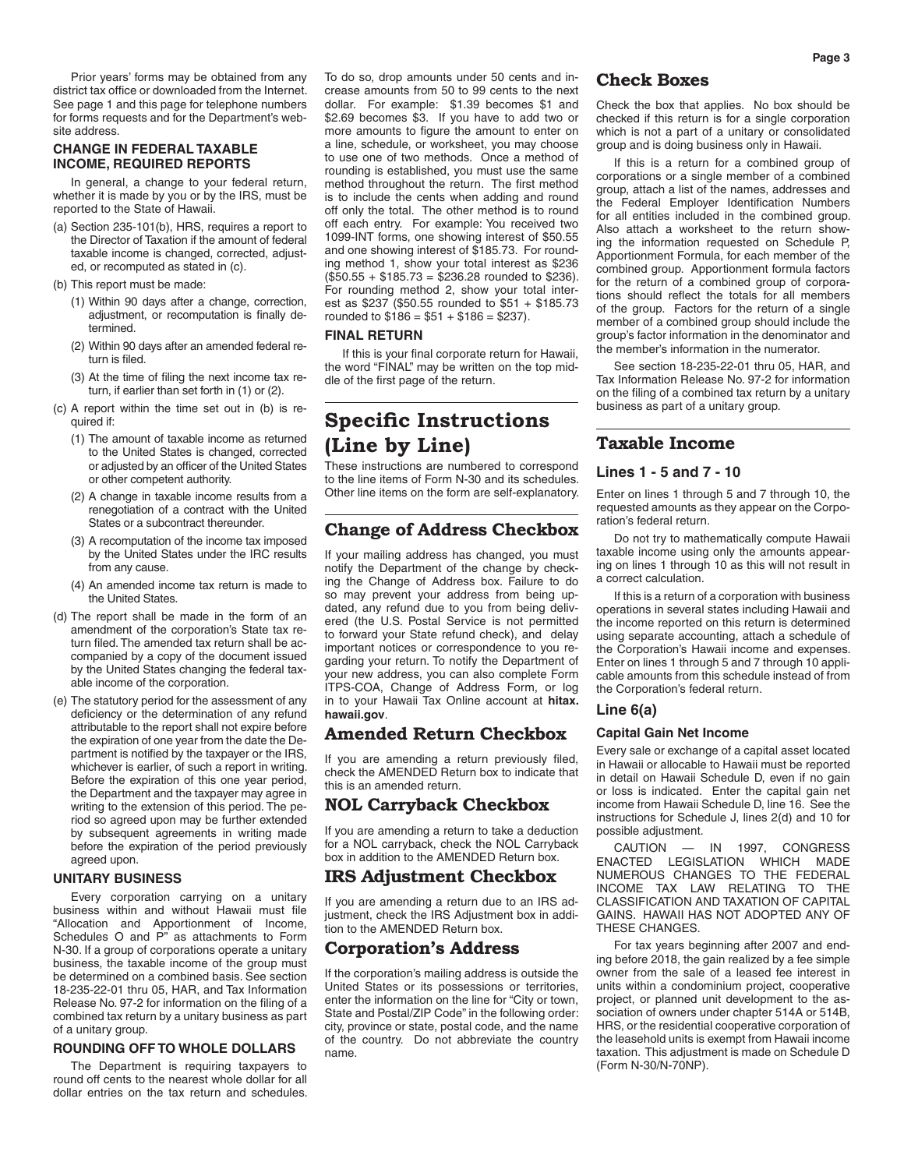Prior years' forms may be obtained from any district tax office or downloaded from the Internet. See page 1 and this page for telephone numbers for forms requests and for the Department's website address.

#### **CHANGE IN FEDERAL TAXABLE INCOME, REQUIRED REPORTS**

In general, a change to your federal return, whether it is made by you or by the IRS, must be reported to the State of Hawaii.

- (a) Section 235-101(b), HRS, requires a report to the Director of Taxation if the amount of federal taxable income is changed, corrected, adjusted, or recomputed as stated in (c).
- (b) This report must be made:
	- (1) Within 90 days after a change, correction, adjustment, or recomputation is finally determined.
	- (2) Within 90 days after an amended federal return is filed.
	- (3) At the time of filing the next income tax return, if earlier than set forth in (1) or (2).
- (c) A report within the time set out in (b) is required if:
	- (1) The amount of taxable income as returned to the United States is changed, corrected or adjusted by an officer of the United States or other competent authority.
	- (2) A change in taxable income results from a renegotiation of a contract with the United States or a subcontract thereunder.
	- (3) A recomputation of the income tax imposed by the United States under the IRC results from any cause.
	- (4) An amended income tax return is made to the United States.
- (d) The report shall be made in the form of an amendment of the corporation's State tax return filed. The amended tax return shall be accompanied by a copy of the document issued by the United States changing the federal taxable income of the corporation.
- (e) The statutory period for the assessment of any deficiency or the determination of any refund attributable to the report shall not expire before the expiration of one year from the date the Department is notified by the taxpayer or the IRS, whichever is earlier, of such a report in writing. Before the expiration of this one year period, the Department and the taxpayer may agree in writing to the extension of this period. The period so agreed upon may be further extended by subsequent agreements in writing made before the expiration of the period previously agreed upon.

#### **UNITARY BUSINESS**

Every corporation carrying on a unitary business within and without Hawaii must file "Allocation and Apportionment of Income, Schedules O and P" as attachments to Form N-30. If a group of corporations operate a unitary business, the taxable income of the group must be determined on a combined basis. See section 18-235-22-01 thru 05, HAR, and Tax Information Release No. 97-2 for information on the filing of a combined tax return by a unitary business as part of a unitary group.

#### **ROUNDING OFF TO WHOLE DOLLARS**

The Department is requiring taxpayers to round off cents to the nearest whole dollar for all dollar entries on the tax return and schedules.

To do so, drop amounts under 50 cents and increase amounts from 50 to 99 cents to the next dollar. For example: \$1.39 becomes \$1 and \$2.69 becomes \$3. If you have to add two or more amounts to figure the amount to enter on a line, schedule, or worksheet, you may choose to use one of two methods. Once a method of rounding is established, you must use the same method throughout the return. The first method is to include the cents when adding and round off only the total. The other method is to round off each entry. For example: You received two 1099-INT forms, one showing interest of \$50.55 and one showing interest of \$185.73. For rounding method 1, show your total interest as \$236  $($50.55 + $185.73 = $236.28$  rounded to \$236). For rounding method 2, show your total interest as \$237 (\$50.55 rounded to \$51 + \$185.73 rounded to  $$186 = $51 + $186 = $237$ .

#### **FINAL RETURN**

If this is your final corporate return for Hawaii, the word "FINAL" may be written on the top middle of the first page of the return.

# **Specific Instructions (Line by Line)**

These instructions are numbered to correspond to the line items of Form N-30 and its schedules. Other line items on the form are self-explanatory.

## **Change of Address Checkbox**

If your mailing address has changed, you must notify the Department of the change by checking the Change of Address box. Failure to do so may prevent your address from being updated, any refund due to you from being delivered (the U.S. Postal Service is not permitted to forward your State refund check), and delay important notices or correspondence to you regarding your return. To notify the Department of your new address, you can also complete Form ITPS-COA, Change of Address Form, or log in to your Hawaii Tax Online account at **hitax. hawaii.gov**.

## **Amended Return Checkbox**

If you are amending a return previously filed, check the AMENDED Return box to indicate that this is an amended return.

## **NOL Carryback Checkbox**

If you are amending a return to take a deduction for a NOL carryback, check the NOL Carryback box in addition to the AMENDED Return box.

## IRS Adjustment Checkbox

If you are amending a return due to an IRS adjustment, check the IRS Adjustment box in addition to the AMENDED Return box.

#### **Corporation's Address**

If the corporation's mailing address is outside the United States or its possessions or territories, enter the information on the line for "City or town, State and Postal/ZIP Code" in the following order: city, province or state, postal code, and the name of the country. Do not abbreviate the country name.

## **Check Boxes**

Check the box that applies. No box should be checked if this return is for a single corporation which is not a part of a unitary or consolidated group and is doing business only in Hawaii.

If this is a return for a combined group of corporations or a single member of a combined group, attach a list of the names, addresses and the Federal Employer Identification Numbers for all entities included in the combined group. Also attach a worksheet to the return showing the information requested on Schedule P, Apportionment Formula, for each member of the combined group. Apportionment formula factors for the return of a combined group of corporations should reflect the totals for all members of the group. Factors for the return of a single member of a combined group should include the group's factor information in the denominator and the member's information in the numerator.

See section 18-235-22-01 thru 05, HAR, and Tax Information Release No. 97-2 for information on the filing of a combined tax return by a unitary business as part of a unitary group.

## **Taxable Income**

## **Lines 1 - 5 and 7 - 10**

Enter on lines 1 through 5 and 7 through 10, the requested amounts as they appear on the Corporation's federal return.

Do not try to mathematically compute Hawaii taxable income using only the amounts appearing on lines 1 through 10 as this will not result in a correct calculation.

If this is a return of a corporation with business operations in several states including Hawaii and the income reported on this return is determined using separate accounting, attach a schedule of the Corporation's Hawaii income and expenses. Enter on lines 1 through 5 and 7 through 10 applicable amounts from this schedule instead of from the Corporation's federal return.

#### **Line 6(a)**

#### **Capital Gain Net Income**

Every sale or exchange of a capital asset located in Hawaii or allocable to Hawaii must be reported in detail on Hawaii Schedule D, even if no gain or loss is indicated. Enter the capital gain net income from Hawaii Schedule D, line 16. See the instructions for Schedule J, lines 2(d) and 10 for possible adjustment.

CAUTION — IN 1997, CONGRESS ENACTED LEGISLATION WHICH MADE NUMEROUS CHANGES TO THE FEDERAL INCOME TAX LAW RELATING TO THE CLASSIFICATION AND TAXATION OF CAPITAL GAINS. HAWAII HAS NOT ADOPTED ANY OF THESE CHANGES.

For tax years beginning after 2007 and ending before 2018, the gain realized by a fee simple owner from the sale of a leased fee interest in units within a condominium project, cooperative project, or planned unit development to the association of owners under chapter 514A or 514B, HRS, or the residential cooperative corporation of the leasehold units is exempt from Hawaii income taxation. This adjustment is made on Schedule D (Form N-30/N-70NP).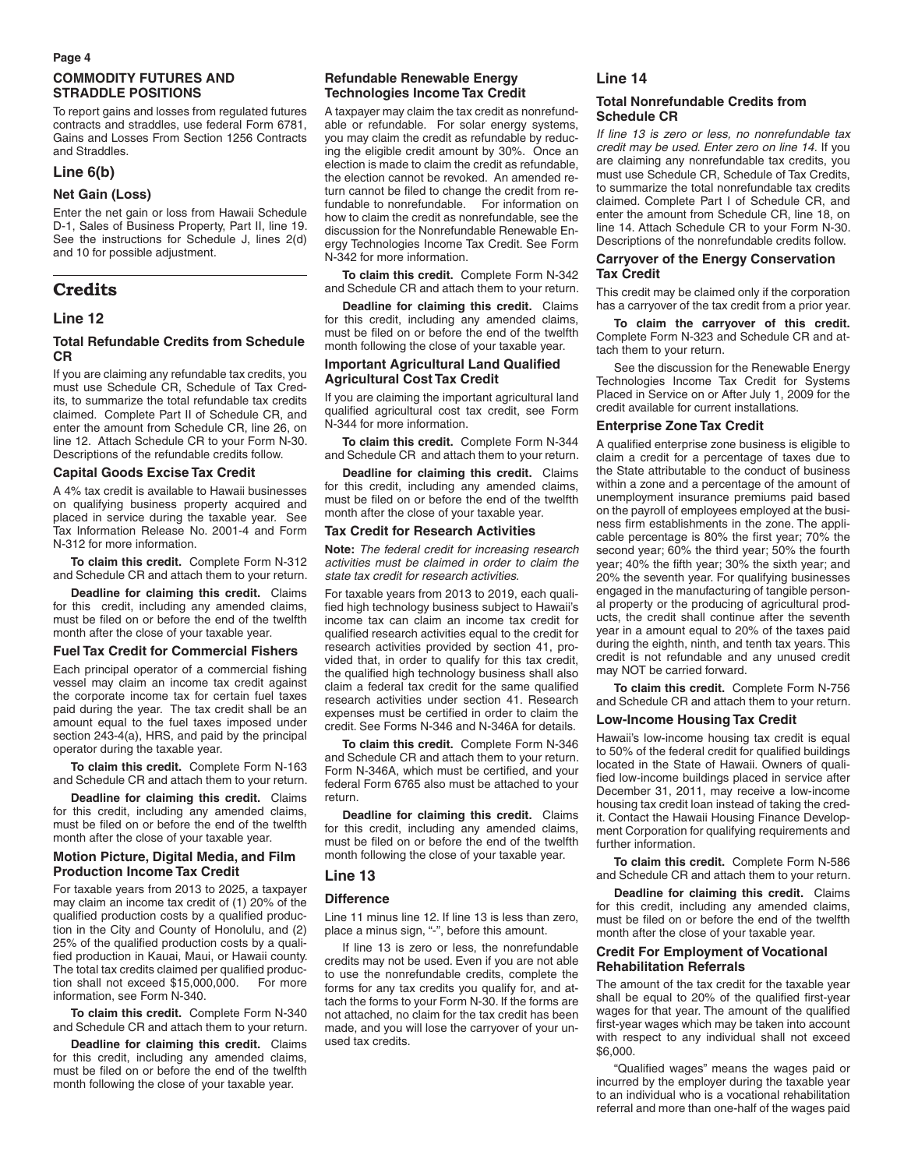#### **Page 4**

### **COMMODITY FUTURES AND STRADDLE POSITIONS**

To report gains and losses from regulated futures contracts and straddles, use federal Form 6781, Gains and Losses From Section 1256 Contracts and Straddles.

#### **Line 6(b)**

#### **Net Gain (Loss)**

Enter the net gain or loss from Hawaii Schedule D-1, Sales of Business Property, Part II, line 19. See the instructions for Schedule J, lines 2(d) and 10 for possible adjustment.

## **Credits**

#### **Line 12**

#### **Total Refundable Credits from Schedule CR**

If you are claiming any refundable tax credits, you must use Schedule CR, Schedule of Tax Credits, to summarize the total refundable tax credits claimed. Complete Part II of Schedule CR, and enter the amount from Schedule CR, line 26, on line 12. Attach Schedule CR to your Form N-30. Descriptions of the refundable credits follow.

#### **Capital Goods Excise Tax Credit**

A 4% tax credit is available to Hawaii businesses on qualifying business property acquired and placed in service during the taxable year. See Tax Information Release No. 2001-4 and Form N-312 for more information.

**To claim this credit.** Complete Form N-312 and Schedule CR and attach them to your return.

**Deadline for claiming this credit.** Claims for this credit, including any amended claims, must be filed on or before the end of the twelfth month after the close of your taxable year.

#### **Fuel Tax Credit for Commercial Fishers**

Each principal operator of a commercial fishing vessel may claim an income tax credit against the corporate income tax for certain fuel taxes paid during the year. The tax credit shall be an amount equal to the fuel taxes imposed under section 243-4(a), HRS, and paid by the principal operator during the taxable year.

**To claim this credit.** Complete Form N-163 and Schedule CR and attach them to your return.

**Deadline for claiming this credit.** Claims for this credit, including any amended claims, must be filed on or before the end of the twelfth month after the close of your taxable year.

#### **Motion Picture, Digital Media, and Film Production Income Tax Credit**

For taxable years from 2013 to 2025, a taxpayer may claim an income tax credit of (1) 20% of the qualified production costs by a qualified production in the City and County of Honolulu, and (2) 25% of the qualified production costs by a qualified production in Kauai, Maui, or Hawaii county. The total tax credits claimed per qualified production shall not exceed \$15,000,000. For more information, see Form N-340.

**To claim this credit.** Complete Form N-340 and Schedule CR and attach them to your return.

**Deadline for claiming this credit.** Claims for this credit, including any amended claims, must be filed on or before the end of the twelfth month following the close of your taxable year.

#### **Refundable Renewable Energy Technologies Income Tax Credit**

A taxpayer may claim the tax credit as nonrefundable or refundable. For solar energy systems, you may claim the credit as refundable by reducing the eligible credit amount by 30%. Once an election is made to claim the credit as refundable, the election cannot be revoked. An amended return cannot be filed to change the credit from refundable to nonrefundable. For information on how to claim the credit as nonrefundable, see the discussion for the Nonrefundable Renewable Energy Technologies Income Tax Credit. See Form N-342 for more information.

**To claim this credit.** Complete Form N-342 and Schedule CR and attach them to your return.

**Deadline for claiming this credit.** Claims for this credit, including any amended claims, must be filed on or before the end of the twelfth month following the close of your taxable year.

#### **Important Agricultural Land Qualified Agricultural Cost Tax Credit**

If you are claiming the important agricultural land qualified agricultural cost tax credit, see Form N-344 for more information.

**To claim this credit.** Complete Form N-344 and Schedule CR and attach them to your return.

**Deadline for claiming this credit.** Claims for this credit, including any amended claims, must be filed on or before the end of the twelfth month after the close of your taxable year.

#### **Tax Credit for Research Activities**

**Note:** *The federal credit for increasing research activities must be claimed in order to claim the state tax credit for research activities.*

For taxable years from 2013 to 2019, each qualified high technology business subject to Hawaii's income tax can claim an income tax credit for qualified research activities equal to the credit for research activities provided by section 41, provided that, in order to qualify for this tax credit, the qualified high technology business shall also claim a federal tax credit for the same qualified research activities under section 41. Research expenses must be certified in order to claim the credit. See Forms N-346 and N-346A for details.

**To claim this credit.** Complete Form N-346 and Schedule CR and attach them to your return. Form N-346A, which must be certified, and your federal Form 6765 also must be attached to your return.

**Deadline for claiming this credit.** Claims for this credit, including any amended claims, must be filed on or before the end of the twelfth month following the close of your taxable year.

#### **Line 13**

#### **Difference**

Line 11 minus line 12. If line 13 is less than zero, place a minus sign, "-", before this amount.

If line 13 is zero or less, the nonrefundable credits may not be used. Even if you are not able to use the nonrefundable credits, complete the forms for any tax credits you qualify for, and attach the forms to your Form N-30. If the forms are not attached, no claim for the tax credit has been made, and you will lose the carryover of your unused tax credits.

#### **Line 14**

#### **Total Nonrefundable Credits from Schedule CR**

*If line 13 is zero or less, no nonrefundable tax credit may be used. Enter zero on line 14.* If you are claiming any nonrefundable tax credits, you must use Schedule CR, Schedule of Tax Credits, to summarize the total nonrefundable tax credits claimed. Complete Part I of Schedule CR, and enter the amount from Schedule CR, line 18, on line 14. Attach Schedule CR to your Form N-30. Descriptions of the nonrefundable credits follow.

#### **Carryover of the Energy Conservation Tax Credit**

This credit may be claimed only if the corporation has a carryover of the tax credit from a prior year.

**To claim the carryover of this credit.** Complete Form N-323 and Schedule CR and attach them to your return.

See the discussion for the Renewable Energy Technologies Income Tax Credit for Systems Placed in Service on or After July 1, 2009 for the credit available for current installations.

#### **Enterprise Zone Tax Credit**

A qualified enterprise zone business is eligible to claim a credit for a percentage of taxes due to the State attributable to the conduct of business within a zone and a percentage of the amount of unemployment insurance premiums paid based on the payroll of employees employed at the business firm establishments in the zone. The applicable percentage is 80% the first year; 70% the second year; 60% the third year; 50% the fourth year; 40% the fifth year; 30% the sixth year; and 20% the seventh year. For qualifying businesses engaged in the manufacturing of tangible personal property or the producing of agricultural products, the credit shall continue after the seventh year in a amount equal to 20% of the taxes paid during the eighth, ninth, and tenth tax years. This credit is not refundable and any unused credit may NOT be carried forward.

**To claim this credit.** Complete Form N-756 and Schedule CR and attach them to your return.

#### **Low-Income Housing Tax Credit**

Hawaii's low-income housing tax credit is equal to 50% of the federal credit for qualified buildings located in the State of Hawaii. Owners of qualified low-income buildings placed in service after December 31, 2011, may receive a low-income housing tax credit loan instead of taking the credit. Contact the Hawaii Housing Finance Development Corporation for qualifying requirements and further information.

**To claim this credit.** Complete Form N-586 and Schedule CR and attach them to your return.

**Deadline for claiming this credit.** Claims for this credit, including any amended claims, must be filed on or before the end of the twelfth month after the close of your taxable year.

#### **Credit For Employment of Vocational Rehabilitation Referrals**

The amount of the tax credit for the taxable year shall be equal to 20% of the qualified first-year wages for that year. The amount of the qualified first-year wages which may be taken into account with respect to any individual shall not exceed \$6,000.

"Qualified wages" means the wages paid or incurred by the employer during the taxable year to an individual who is a vocational rehabilitation referral and more than one-half of the wages paid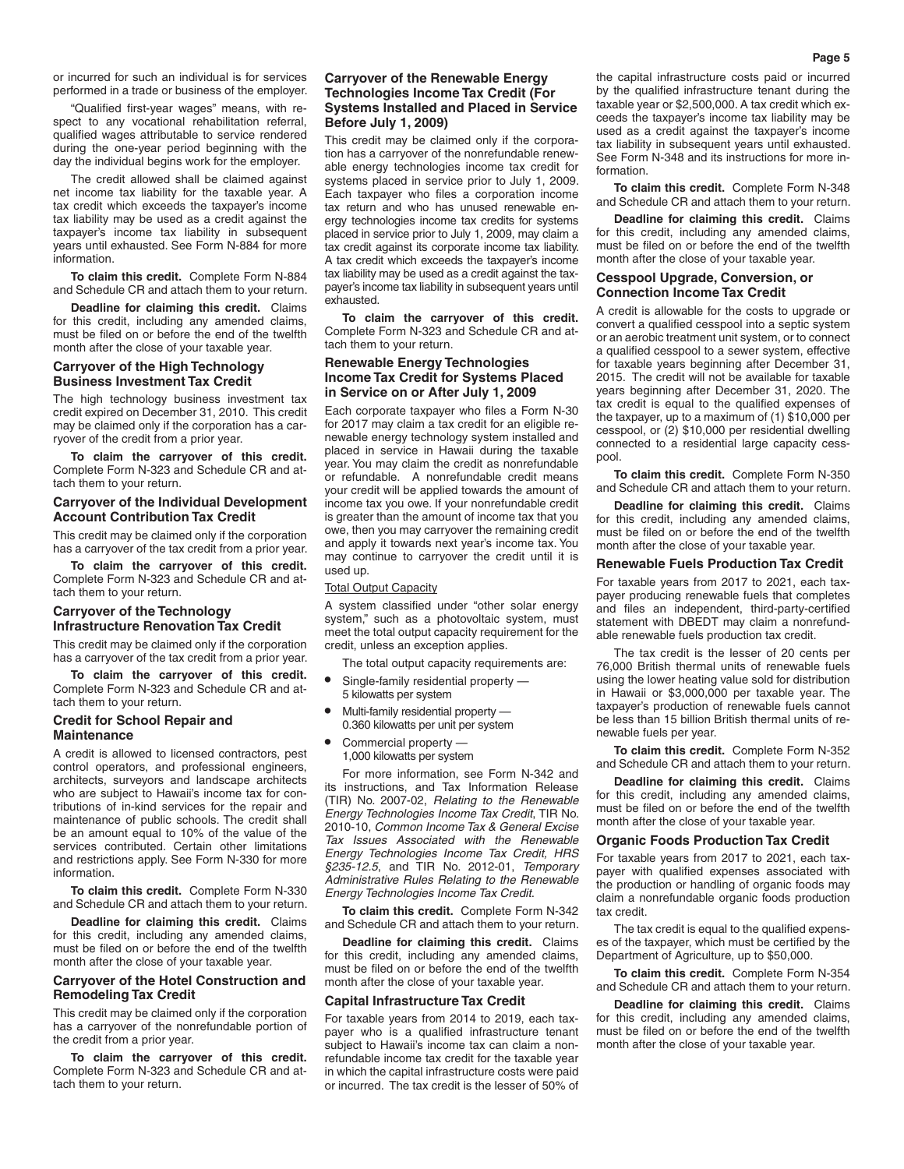or incurred for such an individual is for services performed in a trade or business of the employer.

"Qualified first-year wages" means, with respect to any vocational rehabilitation referral, qualified wages attributable to service rendered during the one-year period beginning with the day the individual begins work for the employer.

The credit allowed shall be claimed against net income tax liability for the taxable year. A tax credit which exceeds the taxpayer's income tax liability may be used as a credit against the taxpayer's income tax liability in subsequent years until exhausted. See Form N-884 for more information.

**To claim this credit.** Complete Form N-884 and Schedule CR and attach them to your return.

**Deadline for claiming this credit.** Claims for this credit, including any amended claims, must be filed on or before the end of the twelfth month after the close of your taxable year.

#### **Carryover of the High Technology Business Investment Tax Credit**

The high technology business investment tax credit expired on December 31, 2010. This credit may be claimed only if the corporation has a carryover of the credit from a prior year.

**To claim the carryover of this credit.** Complete Form N-323 and Schedule CR and attach them to your return.

#### **Carryover of the Individual Development Account Contribution Tax Credit**

This credit may be claimed only if the corporation has a carryover of the tax credit from a prior year.

**To claim the carryover of this credit.** Complete Form N-323 and Schedule CR and attach them to your return.

#### **Carryover of the Technology Infrastructure Renovation Tax Credit**

This credit may be claimed only if the corporation has a carryover of the tax credit from a prior year.

**To claim the carryover of this credit.** Complete Form N-323 and Schedule CR and attach them to your return.

#### **Credit for School Repair and Maintenance**

A credit is allowed to licensed contractors, pest control operators, and professional engineers, architects, surveyors and landscape architects who are subject to Hawaii's income tax for contributions of in-kind services for the repair and maintenance of public schools. The credit shall be an amount equal to 10% of the value of the services contributed. Certain other limitations

and restrictions apply. See Form N-330 for more information. **To claim this credit.** Complete Form N-330 and Schedule CR and attach them to your return.

**Deadline for claiming this credit.** Claims for this credit, including any amended claims, must be filed on or before the end of the twelfth month after the close of your taxable year.

#### **Carryover of the Hotel Construction and Remodeling Tax Credit**

This credit may be claimed only if the corporation has a carryover of the nonrefundable portion of the credit from a prior year.

**To claim the carryover of this credit.** Complete Form N-323 and Schedule CR and attach them to your return.

#### **Carryover of the Renewable Energy Technologies Income Tax Credit (For Systems Installed and Placed in Service Before July 1, 2009)**

This credit may be claimed only if the corporation has a carryover of the nonrefundable renewable energy technologies income tax credit for systems placed in service prior to July 1, 2009. Each taxpayer who files a corporation income tax return and who has unused renewable energy technologies income tax credits for systems placed in service prior to July 1, 2009, may claim a tax credit against its corporate income tax liability. A tax credit which exceeds the taxpayer's income tax liability may be used as a credit against the taxpayer's income tax liability in subsequent years until exhausted.

**To claim the carryover of this credit.** Complete Form N-323 and Schedule CR and attach them to your return.

#### **Renewable Energy Technologies Income Tax Credit for Systems Placed in Service on or After July 1, 2009**

Each corporate taxpayer who files a Form N-30 for 2017 may claim a tax credit for an eligible renewable energy technology system installed and placed in service in Hawaii during the taxable year. You may claim the credit as nonrefundable or refundable. A nonrefundable credit means your credit will be applied towards the amount of income tax you owe. If your nonrefundable credit is greater than the amount of income tax that you owe, then you may carryover the remaining credit and apply it towards next year's income tax. You may continue to carryover the credit until it is used up.

#### Total Output Capacity

A system classified under "other solar energy system," such as a photovoltaic system, must meet the total output capacity requirement for the credit, unless an exception applies.

The total output capacity requirements are:

- **•** Single-family residential property 5 kilowatts per system
- **•** Multi-family residential property 0.360 kilowatts per unit per system
- **•** Commercial property 1,000 kilowatts per system

For more information, see Form N-342 and its instructions, and Tax Information Release (TIR) No. 2007-02, *Relating to the Renewable Energy Technologies Income Tax Credit*, TIR No. 2010-10, *Common Income Tax & General Excise Tax Issues Associated with the Renewable Energy Technologies Income Tax Credit, HRS §235-12.5*, and TIR No. 2012-01, *Temporary Administrative Rules Relating to the Renewable Energy Technologies Income Tax Credit*.

**To claim this credit.** Complete Form N-342 and Schedule CR and attach them to your return.

**Deadline for claiming this credit.** Claims for this credit, including any amended claims, must be filed on or before the end of the twelfth month after the close of your taxable year.

#### **Capital Infrastructure Tax Credit**

For taxable years from 2014 to 2019, each taxpayer who is a qualified infrastructure tenant subject to Hawaii's income tax can claim a nonrefundable income tax credit for the taxable year in which the capital infrastructure costs were paid or incurred. The tax credit is the lesser of 50% of the capital infrastructure costs paid or incurred by the qualified infrastructure tenant during the taxable year or \$2,500,000. A tax credit which exceeds the taxpayer's income tax liability may be used as a credit against the taxpayer's income tax liability in subsequent years until exhausted. See Form N-348 and its instructions for more information.

**To claim this credit.** Complete Form N-348 and Schedule CR and attach them to your return.

**Deadline for claiming this credit.** Claims for this credit, including any amended claims, must be filed on or before the end of the twelfth month after the close of your taxable year.

#### **Cesspool Upgrade, Conversion, or Connection Income Tax Credit**

A credit is allowable for the costs to upgrade or convert a qualified cesspool into a septic system or an aerobic treatment unit system, or to connect a qualified cesspool to a sewer system, effective for taxable years beginning after December 31, 2015. The credit will not be available for taxable years beginning after December 31, 2020. The tax credit is equal to the qualified expenses of the taxpayer, up to a maximum of (1) \$10,000 per cesspool, or (2) \$10,000 per residential dwelling connected to a residential large capacity cesspool.

**To claim this credit.** Complete Form N-350 and Schedule CR and attach them to your return.

**Deadline for claiming this credit.** Claims for this credit, including any amended claims, must be filed on or before the end of the twelfth month after the close of your taxable year.

#### **Renewable Fuels Production Tax Credit**

For taxable years from 2017 to 2021, each taxpayer producing renewable fuels that completes and files an independent, third-party-certified statement with DBEDT may claim a nonrefundable renewable fuels production tax credit.

The tax credit is the lesser of 20 cents per 76,000 British thermal units of renewable fuels using the lower heating value sold for distribution in Hawaii or \$3,000,000 per taxable year. The taxpayer's production of renewable fuels cannot be less than 15 billion British thermal units of renewable fuels per year.

**To claim this credit.** Complete Form N-352 and Schedule CR and attach them to your return.

**Deadline for claiming this credit.** Claims for this credit, including any amended claims, must be filed on or before the end of the twelfth month after the close of your taxable year.

#### **Organic Foods Production Tax Credit**

For taxable years from 2017 to 2021, each taxpayer with qualified expenses associated with the production or handling of organic foods may claim a nonrefundable organic foods production tax credit.

The tax credit is equal to the qualified expenses of the taxpayer, which must be certified by the Department of Agriculture, up to \$50,000.

**To claim this credit.** Complete Form N-354 and Schedule CR and attach them to your return.

**Deadline for claiming this credit.** Claims for this credit, including any amended claims, must be filed on or before the end of the twelfth month after the close of your taxable year.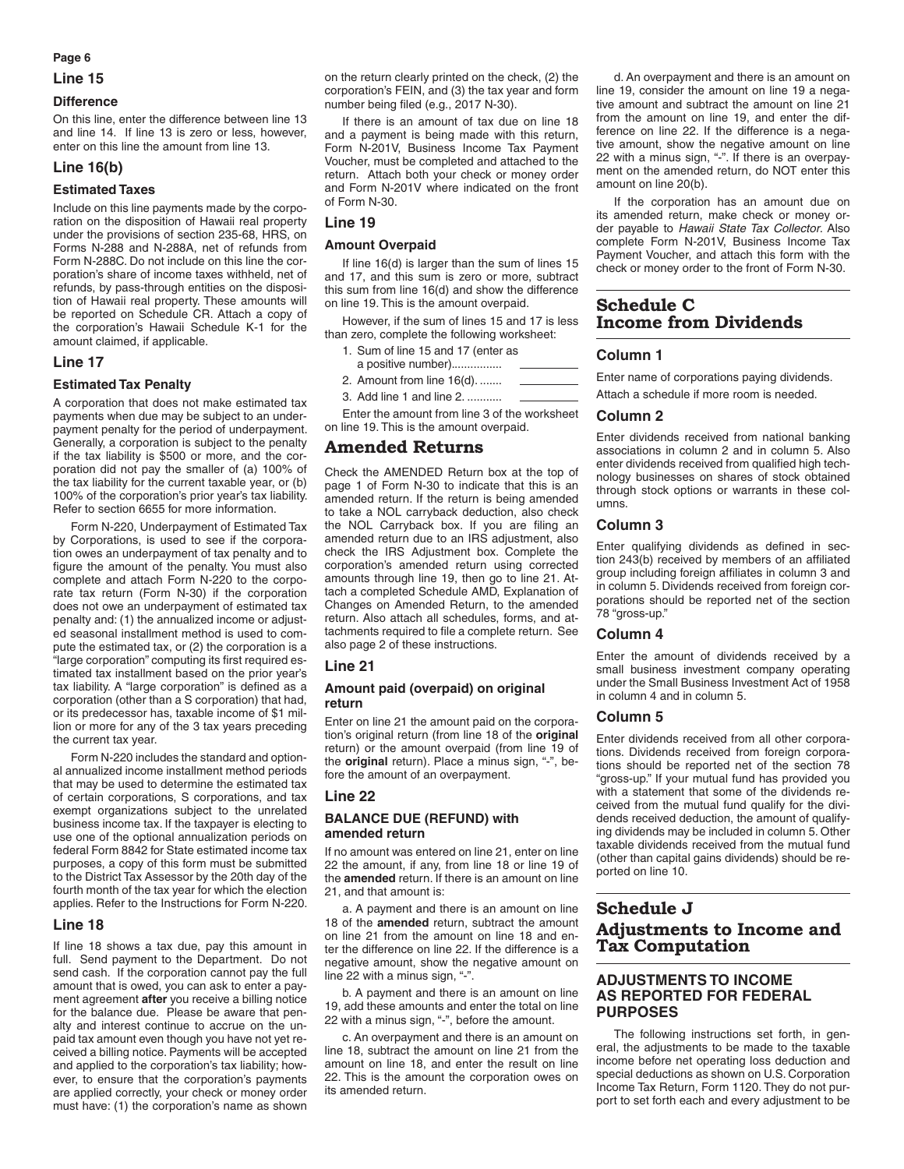#### **Page 6**

#### **Line 15**

#### **Difference**

On this line, enter the difference between line 13 and line 14. If line 13 is zero or less, however, enter on this line the amount from line 13.

## **Line 16(b)**

#### **Estimated Taxes**

Include on this line payments made by the corporation on the disposition of Hawaii real property under the provisions of section 235-68, HRS, on Forms N-288 and N-288A, net of refunds from Form N-288C. Do not include on this line the corporation's share of income taxes withheld, net of refunds, by pass-through entities on the disposition of Hawaii real property. These amounts will be reported on Schedule CR. Attach a copy of the corporation's Hawaii Schedule K-1 for the amount claimed, if applicable.

#### **Line 17**

#### **Estimated Tax Penalty**

A corporation that does not make estimated tax payments when due may be subject to an underpayment penalty for the period of underpayment. Generally, a corporation is subject to the penalty if the tax liability is \$500 or more, and the corporation did not pay the smaller of (a) 100% of the tax liability for the current taxable year, or (b) 100% of the corporation's prior year's tax liability. Refer to section 6655 for more information.

Form N-220, Underpayment of Estimated Tax by Corporations, is used to see if the corporation owes an underpayment of tax penalty and to figure the amount of the penalty. You must also complete and attach Form N-220 to the corporate tax return (Form N-30) if the corporation does not owe an underpayment of estimated tax penalty and: (1) the annualized income or adjusted seasonal installment method is used to compute the estimated tax, or (2) the corporation is a "large corporation" computing its first required estimated tax installment based on the prior year's tax liability. A "large corporation" is defined as a corporation (other than a S corporation) that had, or its predecessor has, taxable income of \$1 million or more for any of the 3 tax years preceding the current tax year.

Form N-220 includes the standard and optional annualized income installment method periods that may be used to determine the estimated tax of certain corporations, S corporations, and tax exempt organizations subject to the unrelated business income tax. If the taxpayer is electing to use one of the optional annualization periods on federal Form 8842 for State estimated income tax purposes, a copy of this form must be submitted to the District Tax Assessor by the 20th day of the fourth month of the tax year for which the election applies. Refer to the Instructions for Form N-220.

#### **Line 18**

If line 18 shows a tax due, pay this amount in full. Send payment to the Department. Do not send cash. If the corporation cannot pay the full amount that is owed, you can ask to enter a payment agreement **after** you receive a billing notice for the balance due. Please be aware that penalty and interest continue to accrue on the unpaid tax amount even though you have not yet received a billing notice. Payments will be accepted and applied to the corporation's tax liability; however, to ensure that the corporation's payments are applied correctly, your check or money order must have: (1) the corporation's name as shown

on the return clearly printed on the check, (2) the corporation's FEIN, and (3) the tax year and form number being filed (e.g., 2017 N-30).

If there is an amount of tax due on line 18 and a payment is being made with this return, Form N-201V, Business Income Tax Payment Voucher, must be completed and attached to the return. Attach both your check or money order and Form N-201V where indicated on the front of Form N-30.

#### **Line 19**

#### **Amount Overpaid**

If line 16(d) is larger than the sum of lines 15 and 17, and this sum is zero or more, subtract this sum from line 16(d) and show the difference on line 19. This is the amount overpaid.

However, if the sum of lines 15 and 17 is less than zero, complete the following worksheet:

- 1. Sum of line 15 and 17 (enter as
- a positive number)................
- 2. Amount from line 16(d). .......
- 3. Add line 1 and line 2. ...........

Enter the amount from line 3 of the worksheet on line 19. This is the amount overpaid.

## **Amended Returns**

Check the AMENDED Return box at the top of page 1 of Form N-30 to indicate that this is an amended return. If the return is being amended to take a NOL carryback deduction, also check the NOL Carryback box. If you are filing an amended return due to an IRS adjustment, also check the IRS Adjustment box. Complete the corporation's amended return using corrected amounts through line 19, then go to line 21. Attach a completed Schedule AMD, Explanation of Changes on Amended Return, to the amended return. Also attach all schedules, forms, and attachments required to file a complete return. See also page 2 of these instructions.

#### **Line 21**

#### **Amount paid (overpaid) on original return**

Enter on line 21 the amount paid on the corporation's original return (from line 18 of the **original** return) or the amount overpaid (from line 19 of the **original** return). Place a minus sign, "-", before the amount of an overpayment.

#### **Line 22**

#### **BALANCE DUE (REFUND) with amended return**

If no amount was entered on line 21, enter on line 22 the amount, if any, from line 18 or line 19 of the **amended** return. If there is an amount on line 21, and that amount is:

a. A payment and there is an amount on line 18 of the **amended** return, subtract the amount on line 21 from the amount on line 18 and enter the difference on line 22. If the difference is a negative amount, show the negative amount on line 22 with a minus sign, "-".

b. A payment and there is an amount on line 19, add these amounts and enter the total on line 22 with a minus sign, "-", before the amount.

c. An overpayment and there is an amount on line 18, subtract the amount on line 21 from the amount on line 18, and enter the result on line 22. This is the amount the corporation owes on its amended return.

d. An overpayment and there is an amount on line 19, consider the amount on line 19 a negative amount and subtract the amount on line 21 from the amount on line 19, and enter the difference on line 22. If the difference is a negative amount, show the negative amount on line 22 with a minus sign, "-". If there is an overpayment on the amended return, do NOT enter this amount on line 20(b).

If the corporation has an amount due on its amended return, make check or money order payable to *Hawaii State Tax Collector*. Also complete Form N-201V, Business Income Tax Payment Voucher, and attach this form with the check or money order to the front of Form N-30.

## **Schedule C Income from Dividends**

## **Column 1**

Enter name of corporations paying dividends. Attach a schedule if more room is needed.

#### **Column 2**

Enter dividends received from national banking associations in column 2 and in column 5. Also enter dividends received from qualified high technology businesses on shares of stock obtained through stock options or warrants in these columns.

#### **Column 3**

Enter qualifying dividends as defined in section 243(b) received by members of an affiliated group including foreign affiliates in column 3 and in column 5. Dividends received from foreign corporations should be reported net of the section 78 "gross-up."

#### **Column 4**

Enter the amount of dividends received by a small business investment company operating under the Small Business Investment Act of 1958 in column 4 and in column 5.

#### **Column 5**

Enter dividends received from all other corporations. Dividends received from foreign corporations should be reported net of the section 78 "gross-up." If your mutual fund has provided you with a statement that some of the dividends received from the mutual fund qualify for the dividends received deduction, the amount of qualifying dividends may be included in column 5. Other taxable dividends received from the mutual fund (other than capital gains dividends) should be reported on line 10.

## **Schedule J Adjustments to Income and Tax Computation**

## **ADJUSTMENTS TO INCOME AS REPORTED FOR FEDERAL PURPOSES**

The following instructions set forth, in general, the adjustments to be made to the taxable income before net operating loss deduction and special deductions as shown on U.S. Corporation Income Tax Return, Form 1120. They do not purport to set forth each and every adjustment to be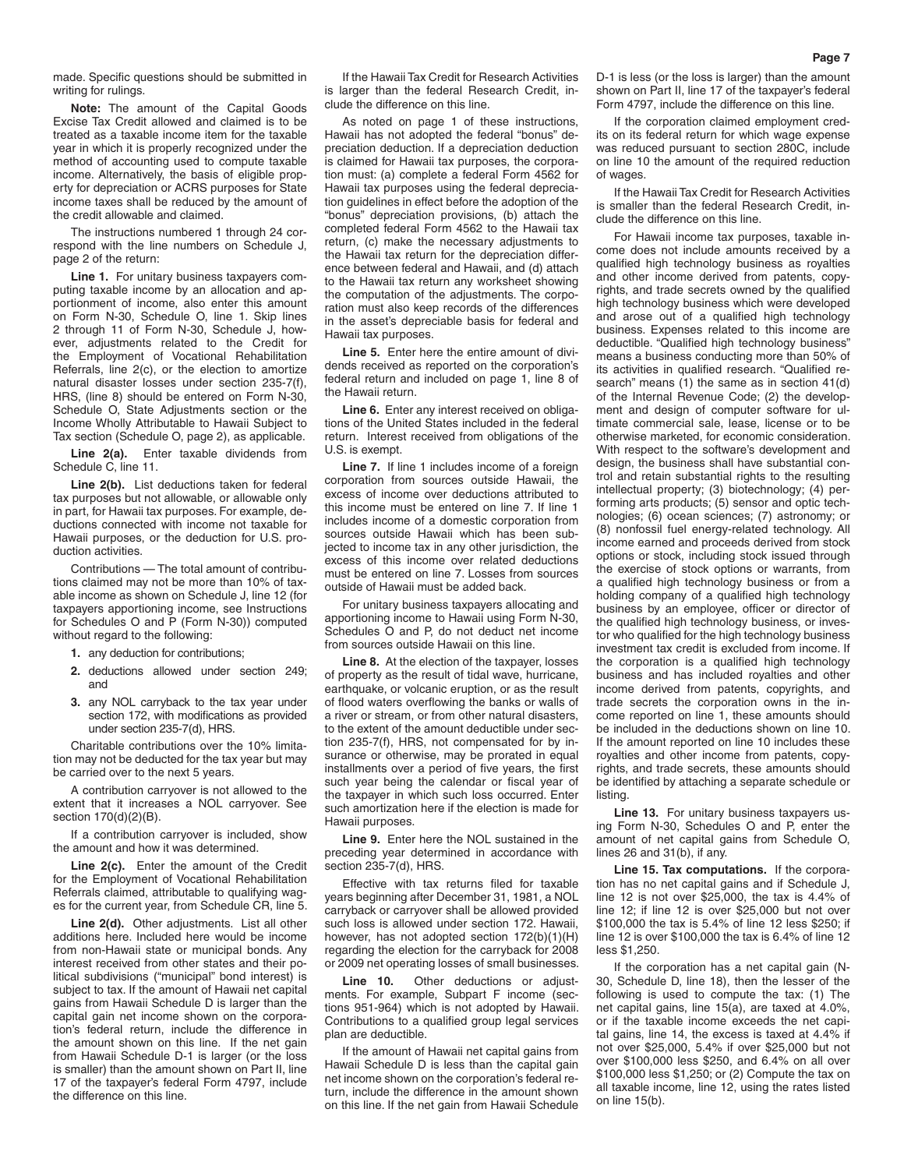made. Specific questions should be submitted in writing for rulings.

**Note:** The amount of the Capital Goods Excise Tax Credit allowed and claimed is to be treated as a taxable income item for the taxable year in which it is properly recognized under the method of accounting used to compute taxable income. Alternatively, the basis of eligible property for depreciation or ACRS purposes for State income taxes shall be reduced by the amount of the credit allowable and claimed.

The instructions numbered 1 through 24 correspond with the line numbers on Schedule J, page 2 of the return:

**Line 1.** For unitary business taxpayers computing taxable income by an allocation and apportionment of income, also enter this amount on Form N-30, Schedule O, line 1. Skip lines 2 through 11 of Form N-30, Schedule J, however, adjustments related to the Credit for the Employment of Vocational Rehabilitation Referrals, line 2(c), or the election to amortize natural disaster losses under section 235-7(f), HRS, (line 8) should be entered on Form N-30, Schedule O, State Adjustments section or the Income Wholly Attributable to Hawaii Subject to Tax section (Schedule O, page 2), as applicable.

**Line 2(a).** Enter taxable dividends from Schedule C, line 11.

**Line 2(b).** List deductions taken for federal tax purposes but not allowable, or allowable only in part, for Hawaii tax purposes. For example, deductions connected with income not taxable for Hawaii purposes, or the deduction for U.S. production activities.

Contributions — The total amount of contributions claimed may not be more than 10% of taxable income as shown on Schedule J, line 12 (for taxpayers apportioning income, see Instructions for Schedules O and P (Form N-30)) computed without regard to the following:

- **1.** any deduction for contributions;
- **2.** deductions allowed under section 249; and
- **3.** any NOL carryback to the tax year under section 172, with modifications as provided under section 235-7(d), HRS.

Charitable contributions over the 10% limitation may not be deducted for the tax year but may be carried over to the next 5 years.

A contribution carryover is not allowed to the extent that it increases a NOL carryover. See section 170(d)(2)(B).

If a contribution carryover is included, show the amount and how it was determined.

**Line 2(c).** Enter the amount of the Credit for the Employment of Vocational Rehabilitation Referrals claimed, attributable to qualifying wages for the current year, from Schedule CR, line 5.

**Line 2(d).** Other adjustments. List all other additions here. Included here would be income from non-Hawaii state or municipal bonds. Any interest received from other states and their political subdivisions ("municipal" bond interest) is subject to tax. If the amount of Hawaii net capital gains from Hawaii Schedule D is larger than the capital gain net income shown on the corporation's federal return, include the difference in the amount shown on this line. If the net gain from Hawaii Schedule D-1 is larger (or the loss is smaller) than the amount shown on Part II, line 17 of the taxpayer's federal Form 4797, include the difference on this line.

If the Hawaii Tax Credit for Research Activities is larger than the federal Research Credit, include the difference on this line.

As noted on page 1 of these instructions, Hawaii has not adopted the federal "bonus" depreciation deduction. If a depreciation deduction is claimed for Hawaii tax purposes, the corporation must: (a) complete a federal Form 4562 for Hawaii tax purposes using the federal depreciation guidelines in effect before the adoption of the "bonus" depreciation provisions, (b) attach the completed federal Form 4562 to the Hawaii tax return, (c) make the necessary adjustments to the Hawaii tax return for the depreciation difference between federal and Hawaii, and (d) attach to the Hawaii tax return any worksheet showing the computation of the adjustments. The corporation must also keep records of the differences in the asset's depreciable basis for federal and Hawaii tax purposes.

**Line 5.** Enter here the entire amount of dividends received as reported on the corporation's federal return and included on page 1, line 8 of the Hawaii return.

**Line 6.** Enter any interest received on obligations of the United States included in the federal return. Interest received from obligations of the U.S. is exempt.

**Line 7.** If line 1 includes income of a foreign corporation from sources outside Hawaii, the excess of income over deductions attributed to this income must be entered on line 7. If line 1 includes income of a domestic corporation from sources outside Hawaii which has been subjected to income tax in any other jurisdiction, the excess of this income over related deductions must be entered on line 7. Losses from sources outside of Hawaii must be added back.

For unitary business taxpayers allocating and apportioning income to Hawaii using Form N-30, Schedules O and P, do not deduct net income from sources outside Hawaii on this line.

**Line 8.** At the election of the taxpayer, losses of property as the result of tidal wave, hurricane, earthquake, or volcanic eruption, or as the result of flood waters overflowing the banks or walls of a river or stream, or from other natural disasters, to the extent of the amount deductible under section 235-7(f), HRS, not compensated for by insurance or otherwise, may be prorated in equal installments over a period of five years, the first such year being the calendar or fiscal year of the taxpayer in which such loss occurred. Enter such amortization here if the election is made for Hawaii purposes.

**Line 9.** Enter here the NOL sustained in the preceding year determined in accordance with section 235-7(d), HRS.

Effective with tax returns filed for taxable years beginning after December 31, 1981, a NOL carryback or carryover shall be allowed provided such loss is allowed under section 172. Hawaii, however, has not adopted section 172(b)(1)(H) regarding the election for the carryback for 2008 or 2009 net operating losses of small businesses.

**Line 10.** Other deductions or adjustments. For example, Subpart F income (sections 951-964) which is not adopted by Hawaii. Contributions to a qualified group legal services plan are deductible.

If the amount of Hawaii net capital gains from Hawaii Schedule D is less than the capital gain net income shown on the corporation's federal return, include the difference in the amount shown on this line. If the net gain from Hawaii Schedule D-1 is less (or the loss is larger) than the amount shown on Part II, line 17 of the taxpayer's federal Form 4797, include the difference on this line.

If the corporation claimed employment credits on its federal return for which wage expense was reduced pursuant to section 280C, include on line 10 the amount of the required reduction of wages.

If the Hawaii Tax Credit for Research Activities is smaller than the federal Research Credit, include the difference on this line.

For Hawaii income tax purposes, taxable income does not include amounts received by a qualified high technology business as royalties and other income derived from patents, copyrights, and trade secrets owned by the qualified high technology business which were developed and arose out of a qualified high technology business. Expenses related to this income are deductible. "Qualified high technology business" means a business conducting more than 50% of its activities in qualified research. "Qualified research" means (1) the same as in section 41(d) of the Internal Revenue Code; (2) the development and design of computer software for ultimate commercial sale, lease, license or to be otherwise marketed, for economic consideration. With respect to the software's development and design, the business shall have substantial control and retain substantial rights to the resulting intellectual property; (3) biotechnology; (4) performing arts products; (5) sensor and optic technologies; (6) ocean sciences; (7) astronomy; or (8) nonfossil fuel energy-related technology. All income earned and proceeds derived from stock options or stock, including stock issued through the exercise of stock options or warrants, from a qualified high technology business or from a holding company of a qualified high technology business by an employee, officer or director of the qualified high technology business, or investor who qualified for the high technology business investment tax credit is excluded from income. If the corporation is a qualified high technology business and has included royalties and other income derived from patents, copyrights, and trade secrets the corporation owns in the income reported on line 1, these amounts should be included in the deductions shown on line 10. If the amount reported on line 10 includes these royalties and other income from patents, copyrights, and trade secrets, these amounts should be identified by attaching a separate schedule or listing.

**Line 13.** For unitary business taxpayers using Form N-30, Schedules O and P, enter the amount of net capital gains from Schedule O, lines 26 and 31(b), if any.

**Line 15. Tax computations.** If the corporation has no net capital gains and if Schedule J, line 12 is not over \$25,000, the tax is 4.4% of line 12; if line 12 is over \$25,000 but not over \$100,000 the tax is 5.4% of line 12 less \$250; if line 12 is over \$100,000 the tax is 6.4% of line 12 less \$1,250.

If the corporation has a net capital gain (N-30, Schedule D, line 18), then the lesser of the following is used to compute the tax: (1) The net capital gains, line 15(a), are taxed at 4.0%, or if the taxable income exceeds the net capital gains, line 14, the excess is taxed at 4.4% if not over \$25,000, 5.4% if over \$25,000 but not over \$100,000 less \$250, and 6.4% on all over \$100,000 less \$1,250; or (2) Compute the tax on all taxable income, line 12, using the rates listed on line 15(b).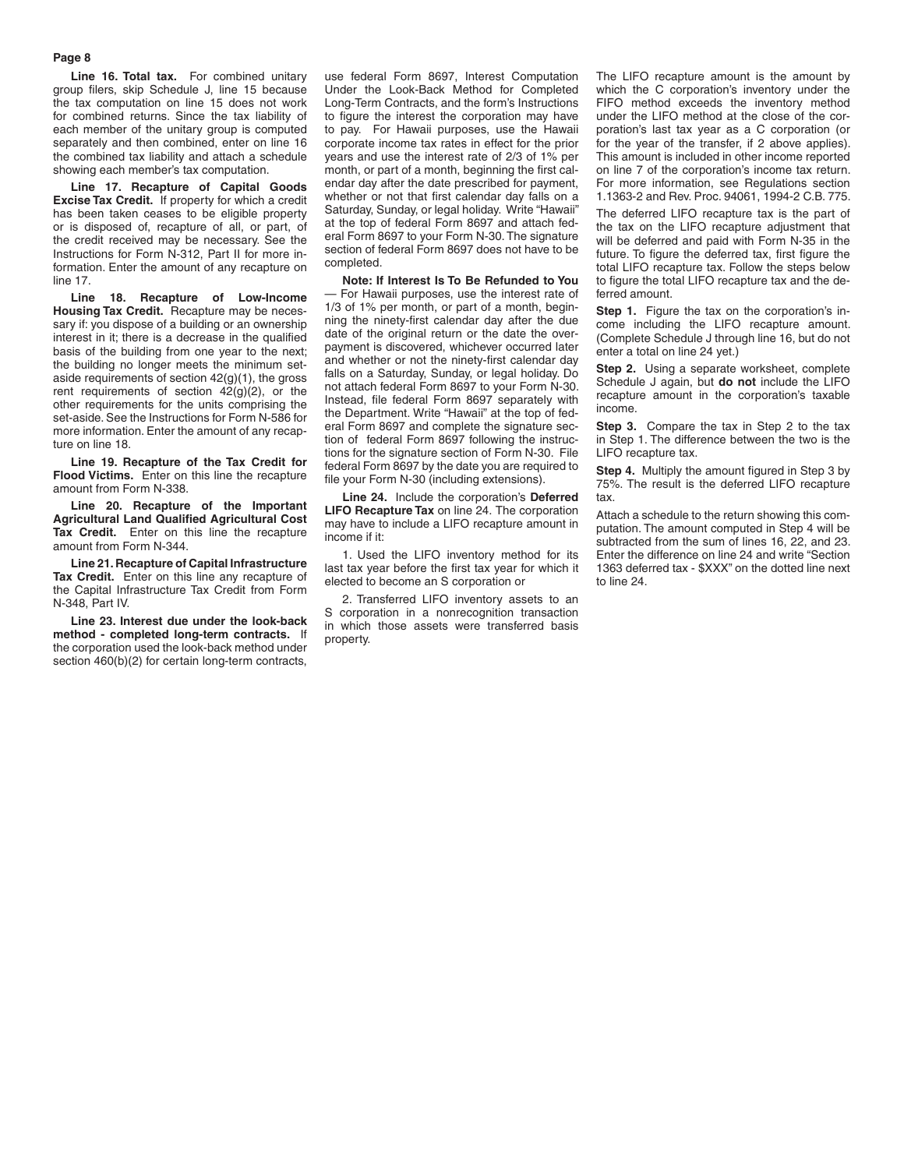#### **Page 8**

Line 16. Total tax. For combined unitary group filers, skip Schedule J, line 15 because the tax computation on line 15 does not work for combined returns. Since the tax liability of each member of the unitary group is computed separately and then combined, enter on line 16 the combined tax liability and attach a schedule showing each member's tax computation.

**Line 17. Recapture of Capital Goods Excise Tax Credit.** If property for which a credit has been taken ceases to be eligible property or is disposed of, recapture of all, or part, of the credit received may be necessary. See the Instructions for Form N-312, Part II for more information. Enter the amount of any recapture on line 17.

**Line 18. Recapture of Low-Income Housing Tax Credit.** Recapture may be necessary if: you dispose of a building or an ownership interest in it; there is a decrease in the qualified basis of the building from one year to the next; the building no longer meets the minimum setaside requirements of section 42(g)(1), the gross rent requirements of section 42(g)(2), or the other requirements for the units comprising the set-aside. See the Instructions for Form N-586 for more information. Enter the amount of any recapture on line 18.

**Line 19. Recapture of the Tax Credit for Flood Victims.** Enter on this line the recapture amount from Form N-338.

**Line 20. Recapture of the Important Agricultural Land Qualified Agricultural Cost Tax Credit.** Enter on this line the recapture amount from Form N-344.

**Line 21. Recapture of Capital Infrastructure Tax Credit.** Enter on this line any recapture of the Capital Infrastructure Tax Credit from Form N-348, Part IV.

**Line 23. Interest due under the look-back method - completed long-term contracts.** If the corporation used the look-back method under section 460(b)(2) for certain long-term contracts,

use federal Form 8697, Interest Computation Under the Look-Back Method for Completed Long-Term Contracts, and the form's Instructions to figure the interest the corporation may have to pay. For Hawaii purposes, use the Hawaii corporate income tax rates in effect for the prior years and use the interest rate of 2/3 of 1% per month, or part of a month, beginning the first calendar day after the date prescribed for payment, whether or not that first calendar day falls on a Saturday, Sunday, or legal holiday. Write "Hawaii" at the top of federal Form 8697 and attach federal Form 8697 to your Form N-30. The signature section of federal Form 8697 does not have to be completed.

**Note: If Interest Is To Be Refunded to You** — For Hawaii purposes, use the interest rate of 1/3 of 1% per month, or part of a month, beginning the ninety-first calendar day after the due date of the original return or the date the overpayment is discovered, whichever occurred later and whether or not the ninety-first calendar day falls on a Saturday, Sunday, or legal holiday. Do not attach federal Form 8697 to your Form N-30. Instead, file federal Form 8697 separately with the Department. Write "Hawaii" at the top of federal Form 8697 and complete the signature section of federal Form 8697 following the instructions for the signature section of Form N-30. File federal Form 8697 by the date you are required to file your Form N-30 (including extensions).

**Line 24.** Include the corporation's **Deferred LIFO Recapture Tax** on line 24. The corporation may have to include a LIFO recapture amount in income if it:

1. Used the LIFO inventory method for its last tax year before the first tax year for which it elected to become an S corporation or

2. Transferred LIFO inventory assets to an S corporation in a nonrecognition transaction in which those assets were transferred basis property.

The LIFO recapture amount is the amount by which the C corporation's inventory under the FIFO method exceeds the inventory method under the LIFO method at the close of the corporation's last tax year as a C corporation (or for the year of the transfer, if 2 above applies). This amount is included in other income reported on line 7 of the corporation's income tax return. For more information, see Regulations section 1.1363-2 and Rev. Proc. 94061, 1994-2 C.B. 775.

The deferred LIFO recapture tax is the part of the tax on the LIFO recapture adjustment that will be deferred and paid with Form N-35 in the future. To figure the deferred tax, first figure the total LIFO recapture tax. Follow the steps below to figure the total LIFO recapture tax and the deferred amount.

**Step 1.** Figure the tax on the corporation's income including the LIFO recapture amount. (Complete Schedule J through line 16, but do not enter a total on line 24 yet.)

**Step 2.** Using a separate worksheet, complete Schedule J again, but **do not** include the LIFO recapture amount in the corporation's taxable income.

**Step 3.** Compare the tax in Step 2 to the tax in Step 1. The difference between the two is the LIFO recapture tax.

**Step 4.** Multiply the amount figured in Step 3 by 75%. The result is the deferred LIFO recapture tax.

Attach a schedule to the return showing this computation. The amount computed in Step 4 will be subtracted from the sum of lines 16, 22, and 23. Enter the difference on line 24 and write "Section 1363 deferred tax - \$XXX" on the dotted line next to line 24.